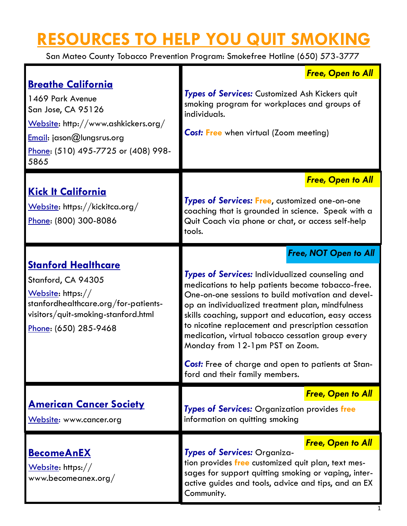## **RESOURCES TO HELP YOU QUIT SMOKING**

San Mateo County Tobacco Prevention Program: Smokefree Hotline (650) 573-3777

|                                                                                                                                                                                        | <b>Free, Open to All</b>                                                                                                                                                                                                                                                                                                                                                                                             |
|----------------------------------------------------------------------------------------------------------------------------------------------------------------------------------------|----------------------------------------------------------------------------------------------------------------------------------------------------------------------------------------------------------------------------------------------------------------------------------------------------------------------------------------------------------------------------------------------------------------------|
| <b>Breathe California</b><br>1469 Park Avenue<br>San Jose, CA 95126<br>Website: http://www.ashkickers.org/<br>Email: jason@lungsrus.org<br>Phone: (510) 495-7725 or (408) 998-<br>5865 | Types of Services: Customized Ash Kickers quit<br>smoking program for workplaces and groups of<br>individuals.<br><b>Cost: Free</b> when virtual (Zoom meeting)                                                                                                                                                                                                                                                      |
|                                                                                                                                                                                        | <b>Free, Open to All</b>                                                                                                                                                                                                                                                                                                                                                                                             |
| <u>Kick It California</u><br>Website: https://kickitca.org/<br>Phone: (800) 300-8086                                                                                                   | Types of Services: Free, customized one-on-one<br>coaching that is grounded in science. Speak with a<br>Quit Coach via phone or chat, or access self-help<br>tools.                                                                                                                                                                                                                                                  |
|                                                                                                                                                                                        | <b>Free, NOT Open to All</b>                                                                                                                                                                                                                                                                                                                                                                                         |
| <b>Stanford Healthcare</b><br>Stanford, CA 94305<br>Website: https://<br>stanfordhealthcare.org/for-patients-<br>visitors/quit-smoking-stanford.html<br>Phone: (650) 285-9468          | Types of Services: Individualized counseling and<br>medications to help patients become tobacco-free.<br>One-on-one sessions to build motivation and devel-<br>op an individualized treatment plan, mindfulness<br>skills coaching, support and education, easy access<br>to nicotine replacement and prescription cessation<br>medication, virtual tobacco cessation group every<br>Monday from 12-1pm PST on Zoom. |
|                                                                                                                                                                                        | Cost: Free of charge and open to patients at Stan-<br>ford and their family members.                                                                                                                                                                                                                                                                                                                                 |
|                                                                                                                                                                                        | <b>Free, Open to All</b>                                                                                                                                                                                                                                                                                                                                                                                             |
| <u> American Cancer Society</u><br>Website: www.cancer.org                                                                                                                             | Types of Services: Organization provides free<br>information on quitting smoking                                                                                                                                                                                                                                                                                                                                     |
| <b>BecomeAnEX</b><br>Website: https://<br>www.becomeanex.org/                                                                                                                          | <b>Free, Open to All</b>                                                                                                                                                                                                                                                                                                                                                                                             |
|                                                                                                                                                                                        | Types of Services: Organiza-<br>tion provides free customized quit plan, text mes-<br>sages for support quitting smoking or vaping, inter-<br>active guides and tools, advice and tips, and an EX<br>Community.                                                                                                                                                                                                      |